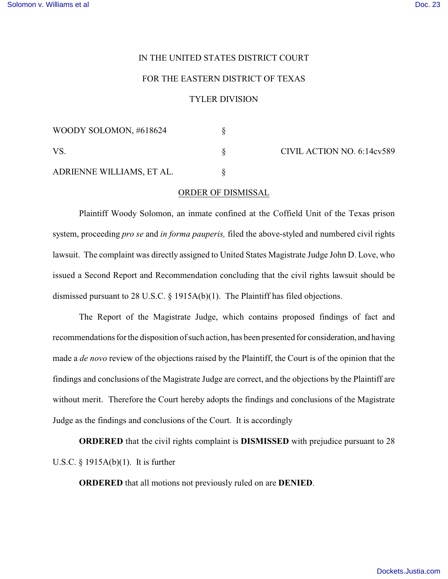## IN THE UNITED STATES DISTRICT COURT

## FOR THE EASTERN DISTRICT OF TEXAS

## TYLER DIVISION

| WOODY SOLOMON, #618624    |  |
|---------------------------|--|
| VS.                       |  |
| ADRIENNE WILLIAMS, ET AL. |  |

CIVIL ACTION NO. 6:14cv589

## ORDER OF DISMISSAL

Plaintiff Woody Solomon, an inmate confined at the Coffield Unit of the Texas prison system, proceeding *pro se* and *in forma pauperis,* filed the above-styled and numbered civil rights lawsuit. The complaint was directly assigned to United States Magistrate Judge John D. Love, who issued a Second Report and Recommendation concluding that the civil rights lawsuit should be dismissed pursuant to 28 U.S.C. § 1915A(b)(1). The Plaintiff has filed objections.

The Report of the Magistrate Judge, which contains proposed findings of fact and recommendations for the disposition of such action, has been presented for consideration, and having made a *de novo* review of the objections raised by the Plaintiff, the Court is of the opinion that the findings and conclusions of the Magistrate Judge are correct, and the objections by the Plaintiff are without merit. Therefore the Court hereby adopts the findings and conclusions of the Magistrate Judge as the findings and conclusions of the Court. It is accordingly

**ORDERED** that the civil rights complaint is **DISMISSED** with prejudice pursuant to 28 U.S.C. § 1915A(b)(1). It is further

**ORDERED** that all motions not previously ruled on are **DENIED**.